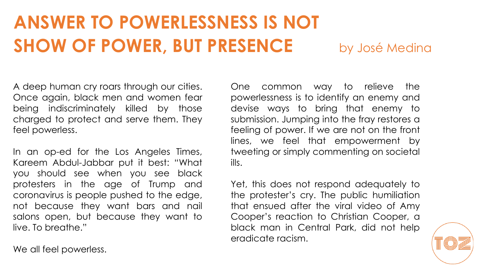A deep human cry roars through our cities. Once again, black men and women fear being indiscriminately killed by those charged to protect and serve them. They feel powerless.

In an op-ed for the Los Angeles Times, Kareem Abdul-Jabbar put it best: "What you should see when you see black protesters in the age of Trump and coronavirus is people pushed to the edge, not because they want bars and nail salons open, but because they want to live. To breathe."

One common way to relieve the powerlessness is to identify an enemy and devise ways to bring that enemy to submission. Jumping into the fray restores a feeling of power. If we are not on the front lines, we feel that empowerment by tweeting or simply commenting on societal ills.

Yet, this does not respond adequately to the protester's cry. The public humiliation that ensued after the viral video of Amy Cooper's reaction to Christian Cooper, a black man in Central Park, did not help eradicate racism.

We all feel powerless.

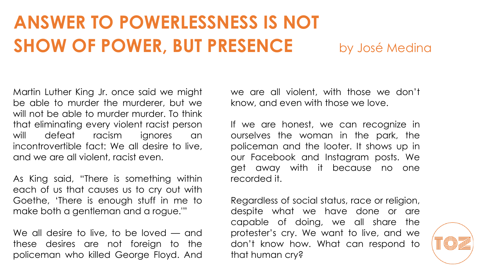Martin Luther King Jr. once said we might be able to murder the murderer, but we will not be able to murder murder. To think that eliminating every violent racist person will defeat racism ignores an incontrovertible fact: We all desire to live, and we are all violent, racist even.

As King said, "There is something within each of us that causes us to cry out with Goethe, 'There is enough stuff in me to make both a gentleman and a rogue.'"

We all desire to live, to be loved — and these desires are not foreign to the policeman who killed George Floyd. And we are all violent, with those we don't know, and even with those we love.

If we are honest, we can recognize in ourselves the woman in the park, the policeman and the looter. It shows up in our Facebook and Instagram posts. We get away with it because no one recorded it.

Regardless of social status, race or religion, despite what we have done or are capable of doing, we all share the protester's cry. We want to live, and we don't know how. What can respond to that human cry?

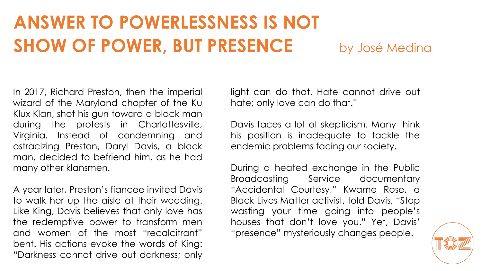In 2017, Richard Preston, then the imperial wizard of the Maryland chapter of the Ku Klux Klan, shot his gun toward a black man during the protests in Charlottesville, Virginia. Instead of condemning and ostracizing Preston, Daryl Davis, a black man, decided to befriend him, as he had many other klansmen.

A year later, Preston's fiancee invited Davis to walk her up the aisle at their wedding. Like King, Davis believes that only love has the redemptive power to transform men and women of the most "recalcitrant" bent. His actions evoke the words of King: "Darkness cannot drive out darkness; only

light can do that. Hate cannot drive out hate; only love can do that."

Davis faces a lot of skepticism. Many think his position is inadequate to tackle the endemic problems facing our society.

During a heated exchange in the Public Broadcasting Service documentary "Accidental Courtesy," Kwame Rose, a Black Lives Matter activist, told Davis, "Stop wasting your time going into people's houses that don't love you." Yet, Davis' "presence" mysteriously changes people.